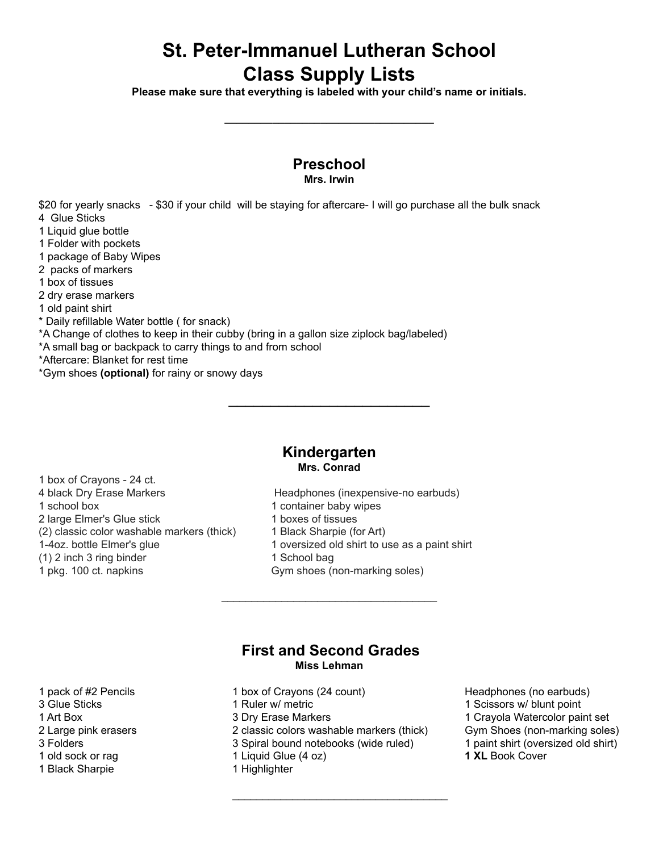# **St. Peter-Immanuel Lutheran School Class Supply Lists**

**Please make sure that everything is labeled with your child's name or initials.**

**\_\_\_\_\_\_\_\_\_\_\_\_\_\_\_\_\_\_\_\_\_\_\_\_\_\_\_\_\_\_\_\_\_\_\_**

#### **Preschool Mrs. Irwin**

\$20 for yearly snacks - \$30 if your child will be staying for aftercare- I will go purchase all the bulk snack 4 Glue Sticks

- 
- 1 Liquid glue bottle 1 Folder with pockets
- 1 package of Baby Wipes
- 2 packs of markers
- 1 box of tissues
- 2 dry erase markers
- 1 old paint shirt
- \* Daily refillable Water bottle ( for snack)
- \*A Change of clothes to keep in their cubby (bring in a gallon size ziplock bag/labeled)
- \*A small bag or backpack to carry things to and from school
- \*Aftercare: Blanket for rest time
- \*Gym shoes **(optional)** for rainy or snowy days

### **Kindergarten Mrs. Conrad**

\_\_\_\_\_\_\_\_\_\_\_\_\_\_\_\_\_\_\_\_\_\_\_\_

1 box of Crayons - 24 ct. 4 black Dry Erase Markers Headphones (inexpensive-no earbuds) 1 school box 1 container baby wipes 2 large Elmer's Glue stick 1 boxes of tissues (2) classic color washable markers (thick) 1 Black Sharpie (for Art) (1) 2 inch 3 ring binder 1 School bag 1 pkg. 100 ct. napkins Gym shoes (non-marking soles)

1-4oz. bottle Elmer's glue 1 oversized old shirt to use as a paint shirt

## **First and Second Grades Miss Lehman**

 $\mathcal{L}_\text{max}$  , and the set of the set of the set of the set of the set of the set of the set of the set of the set of the set of the set of the set of the set of the set of the set of the set of the set of the set of the

- 
- 
- 
- 
- 
- 1 Black Sharpie 1 Highlighter
- 3 Glue Sticks **1 Clue Sticks** 1 Ruler w/ metric **1 Scissors w/ blunt point**
- 2 Large pink erasers 2 classic colors washable markers (thick) Gym Shoes (non-marking soles)

 $\mathcal{L}_\text{max}$  , and the set of the set of the set of the set of the set of the set of the set of the set of the set of the set of the set of the set of the set of the set of the set of the set of the set of the set of the

- 3 Folders 3 Spiral bound notebooks (wide ruled) 1 paint shirt (oversized old shirt)
- 1 old sock or rag 1 Liquid Glue (4 oz) **1 XL** Book Cover
	-
- 1 pack of #2 Pencils 1 box of Crayons (24 count) Headphones (no earbuds) 1 Art Box 1 November 2 3 Dry Erase Markers 1 Crayola Watercolor paint set